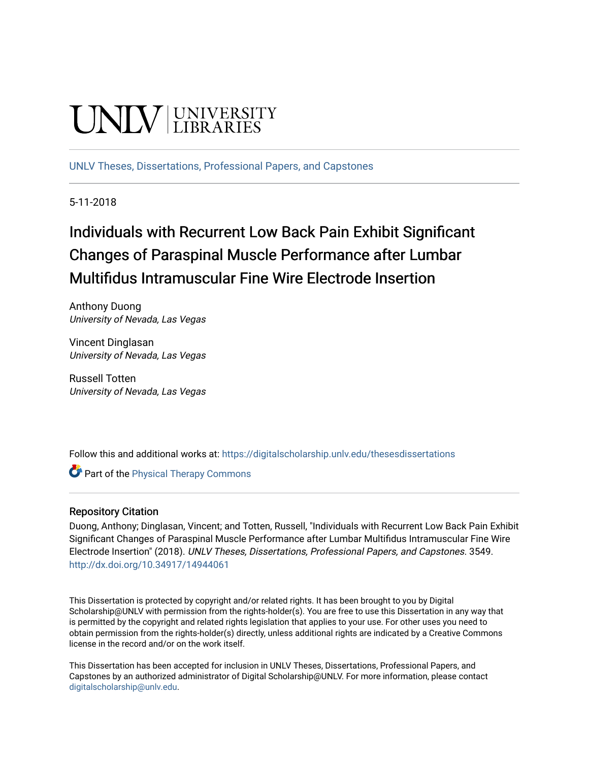# **INIVERSITY**

[UNLV Theses, Dissertations, Professional Papers, and Capstones](https://digitalscholarship.unlv.edu/thesesdissertations)

5-11-2018

## Individuals with Recurrent Low Back Pain Exhibit Significant Changes of Paraspinal Muscle Performance after Lumbar Multifidus Intramuscular Fine Wire Electrode Insertion

Anthony Duong University of Nevada, Las Vegas

Vincent Dinglasan University of Nevada, Las Vegas

Russell Totten University of Nevada, Las Vegas

Follow this and additional works at: [https://digitalscholarship.unlv.edu/thesesdissertations](https://digitalscholarship.unlv.edu/thesesdissertations?utm_source=digitalscholarship.unlv.edu%2Fthesesdissertations%2F3549&utm_medium=PDF&utm_campaign=PDFCoverPages)

**Part of the [Physical Therapy Commons](http://network.bepress.com/hgg/discipline/754?utm_source=digitalscholarship.unlv.edu%2Fthesesdissertations%2F3549&utm_medium=PDF&utm_campaign=PDFCoverPages)** 

#### Repository Citation

Duong, Anthony; Dinglasan, Vincent; and Totten, Russell, "Individuals with Recurrent Low Back Pain Exhibit Significant Changes of Paraspinal Muscle Performance after Lumbar Multifidus Intramuscular Fine Wire Electrode Insertion" (2018). UNLV Theses, Dissertations, Professional Papers, and Capstones. 3549. <http://dx.doi.org/10.34917/14944061>

This Dissertation is protected by copyright and/or related rights. It has been brought to you by Digital Scholarship@UNLV with permission from the rights-holder(s). You are free to use this Dissertation in any way that is permitted by the copyright and related rights legislation that applies to your use. For other uses you need to obtain permission from the rights-holder(s) directly, unless additional rights are indicated by a Creative Commons license in the record and/or on the work itself.

This Dissertation has been accepted for inclusion in UNLV Theses, Dissertations, Professional Papers, and Capstones by an authorized administrator of Digital Scholarship@UNLV. For more information, please contact [digitalscholarship@unlv.edu](mailto:digitalscholarship@unlv.edu).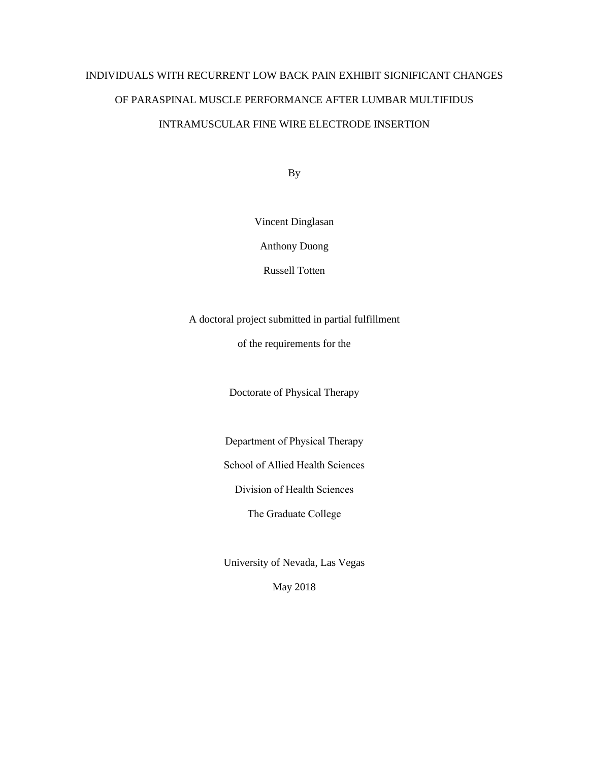## INDIVIDUALS WITH RECURRENT LOW BACK PAIN EXHIBIT SIGNIFICANT CHANGES OF PARASPINAL MUSCLE PERFORMANCE AFTER LUMBAR MULTIFIDUS INTRAMUSCULAR FINE WIRE ELECTRODE INSERTION

By

Vincent Dinglasan

Anthony Duong

Russell Totten

A doctoral project submitted in partial fulfillment

of the requirements for the

Doctorate of Physical Therapy

Department of Physical Therapy

School of Allied Health Sciences

Division of Health Sciences

The Graduate College

University of Nevada, Las Vegas

May 2018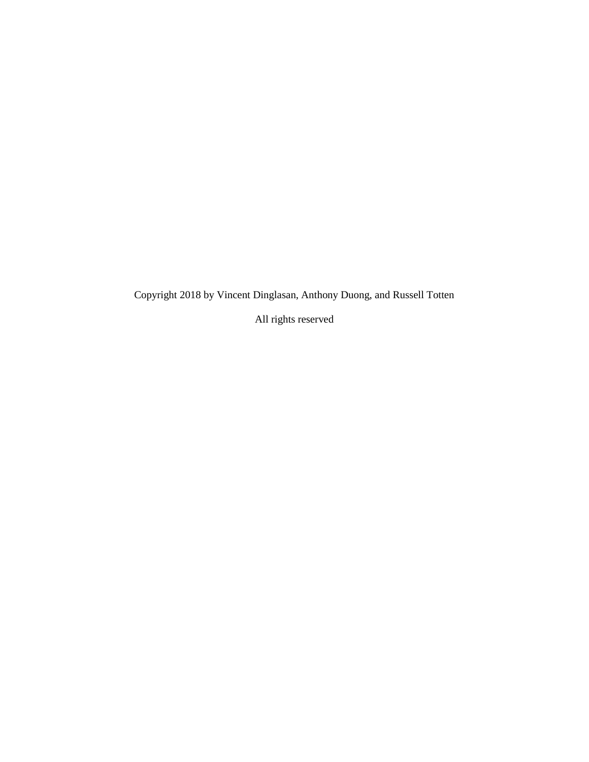Copyright 2018 by Vincent Dinglasan, Anthony Duong, and Russell Totten

All rights reserved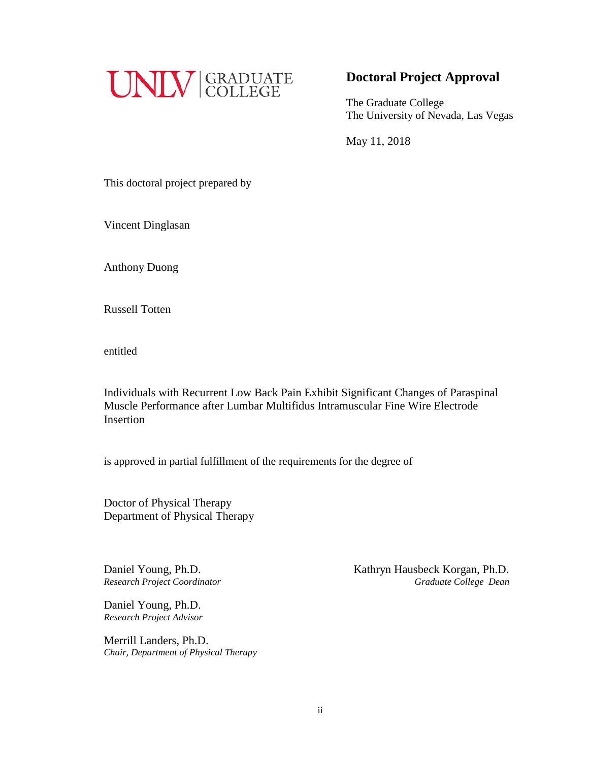

### **Doctoral Project Approval**

The Graduate College The University of Nevada, Las Vegas

May 11, 2018

This doctoral project prepared by

Vincent Dinglasan

Anthony Duong

Russell Totten

entitled

Individuals with Recurrent Low Back Pain Exhibit Significant Changes of Paraspinal Muscle Performance after Lumbar Multifidus Intramuscular Fine Wire Electrode Insertion

is approved in partial fulfillment of the requirements for the degree of

Doctor of Physical Therapy Department of Physical Therapy

Daniel Young, Ph.D. *Research Project Advisor*

Merrill Landers, Ph.D. *Chair, Department of Physical Therapy*

Daniel Young, Ph.D. *Kathryn Hausbeck Korgan, Ph.D. Research Project Coordinator Graduate College Dean*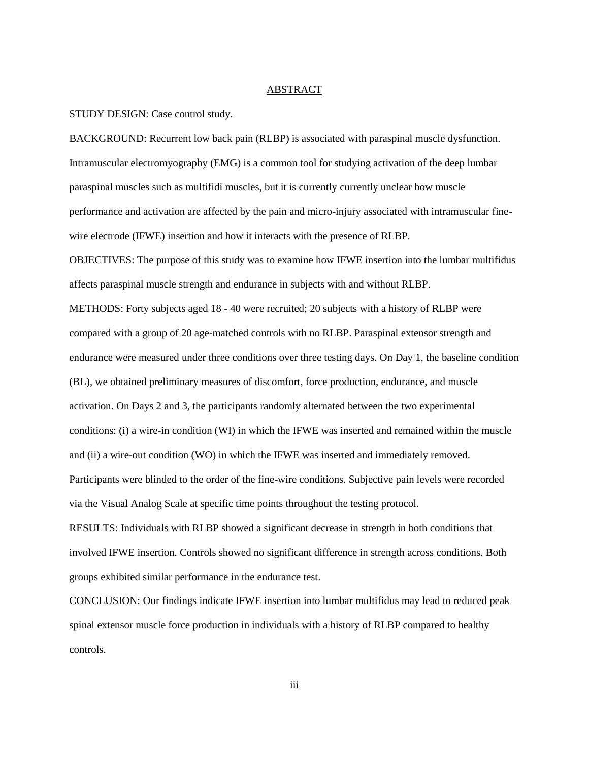#### ABSTRACT

STUDY DESIGN: Case control study.

BACKGROUND: Recurrent low back pain (RLBP) is associated with paraspinal muscle dysfunction. Intramuscular electromyography (EMG) is a common tool for studying activation of the deep lumbar paraspinal muscles such as multifidi muscles, but it is currently currently unclear how muscle performance and activation are affected by the pain and micro-injury associated with intramuscular finewire electrode (IFWE) insertion and how it interacts with the presence of RLBP.

OBJECTIVES: The purpose of this study was to examine how IFWE insertion into the lumbar multifidus affects paraspinal muscle strength and endurance in subjects with and without RLBP.

METHODS: Forty subjects aged 18 - 40 were recruited; 20 subjects with a history of RLBP were compared with a group of 20 age-matched controls with no RLBP. Paraspinal extensor strength and endurance were measured under three conditions over three testing days. On Day 1, the baseline condition (BL), we obtained preliminary measures of discomfort, force production, endurance, and muscle activation. On Days 2 and 3, the participants randomly alternated between the two experimental conditions: (i) a wire-in condition (WI) in which the IFWE was inserted and remained within the muscle and (ii) a wire-out condition (WO) in which the IFWE was inserted and immediately removed. Participants were blinded to the order of the fine-wire conditions. Subjective pain levels were recorded via the Visual Analog Scale at specific time points throughout the testing protocol. RESULTS: Individuals with RLBP showed a significant decrease in strength in both conditions that

involved IFWE insertion. Controls showed no significant difference in strength across conditions. Both groups exhibited similar performance in the endurance test.

CONCLUSION: Our findings indicate IFWE insertion into lumbar multifidus may lead to reduced peak spinal extensor muscle force production in individuals with a history of RLBP compared to healthy controls.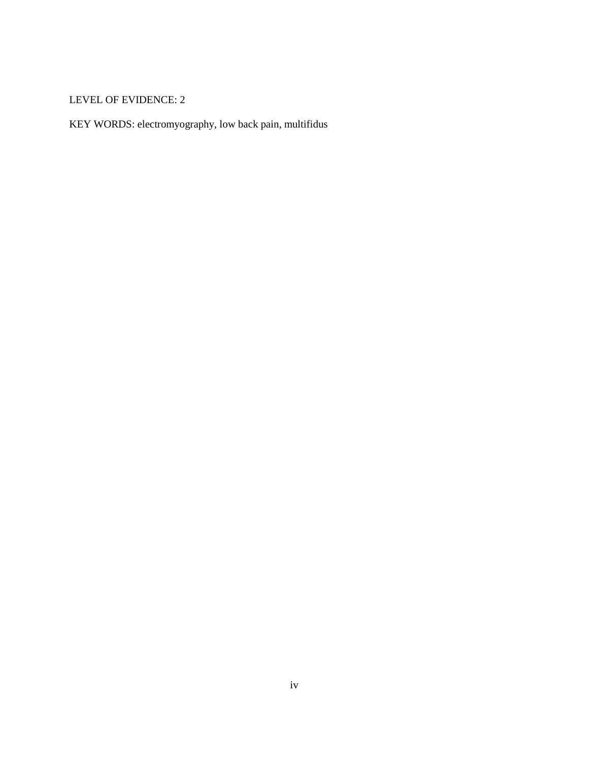#### LEVEL OF EVIDENCE: 2

KEY WORDS: electromyography, low back pain, multifidus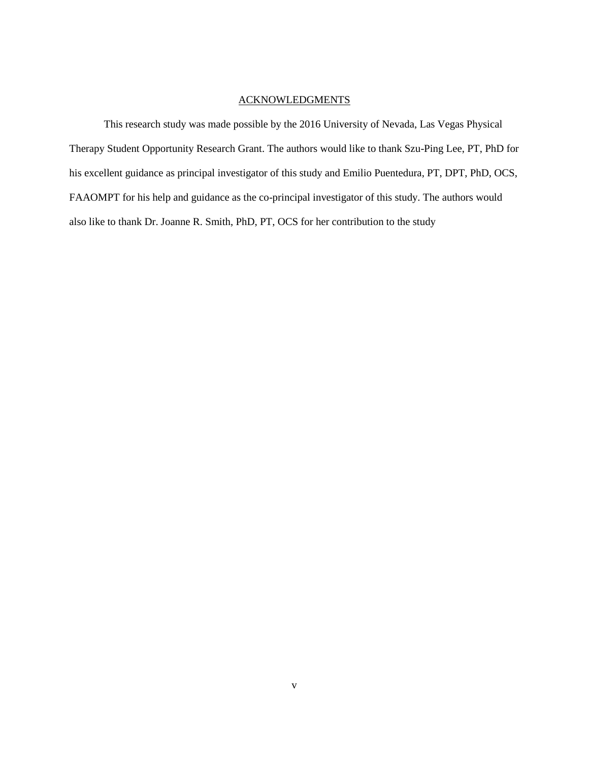#### ACKNOWLEDGMENTS

This research study was made possible by the 2016 University of Nevada, Las Vegas Physical Therapy Student Opportunity Research Grant. The authors would like to thank Szu-Ping Lee, PT, PhD for his excellent guidance as principal investigator of this study and Emilio Puentedura, PT, DPT, PhD, OCS, FAAOMPT for his help and guidance as the co-principal investigator of this study. The authors would also like to thank Dr. Joanne R. Smith, PhD, PT, OCS for her contribution to the study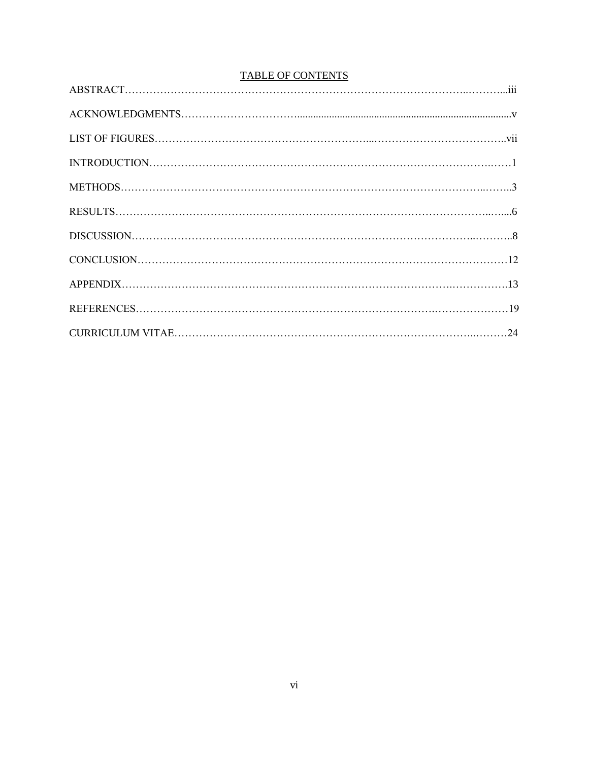| <b>TABLE OF CONTENTS</b> |  |  |
|--------------------------|--|--|
|                          |  |  |
|                          |  |  |
|                          |  |  |
|                          |  |  |
|                          |  |  |
|                          |  |  |
|                          |  |  |
|                          |  |  |
|                          |  |  |
|                          |  |  |
|                          |  |  |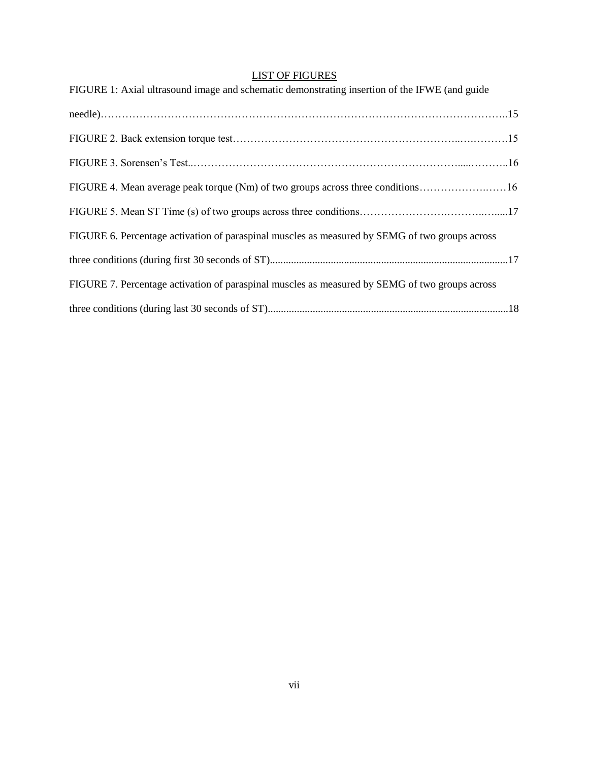### LIST OF FIGURES

| FIGURE 1: Axial ultrasound image and schematic demonstrating insertion of the IFWE (and guide  |  |
|------------------------------------------------------------------------------------------------|--|
|                                                                                                |  |
|                                                                                                |  |
|                                                                                                |  |
| FIGURE 4. Mean average peak torque (Nm) of two groups across three conditions16                |  |
|                                                                                                |  |
| FIGURE 6. Percentage activation of paraspinal muscles as measured by SEMG of two groups across |  |
|                                                                                                |  |
| FIGURE 7. Percentage activation of paraspinal muscles as measured by SEMG of two groups across |  |
|                                                                                                |  |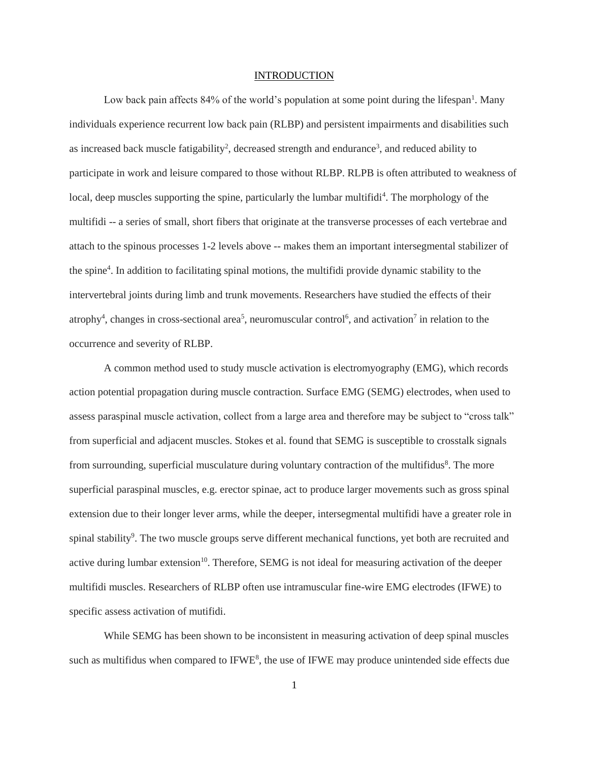#### **INTRODUCTION**

Low back pain affects 84% of the world's population at some point during the lifespan<sup>1</sup>. Many individuals experience recurrent low back pain (RLBP) and persistent impairments and disabilities such as increased back muscle fatigability<sup>2</sup>, decreased strength and endurance<sup>3</sup>, and reduced ability to participate in work and leisure compared to those without RLBP. RLPB is often attributed to weakness of local, deep muscles supporting the spine, particularly the lumbar multifidi<sup>4</sup>. The morphology of the multifidi -- a series of small, short fibers that originate at the transverse processes of each vertebrae and attach to the spinous processes 1-2 levels above -- makes them an important intersegmental stabilizer of the spine<sup>4</sup> . In addition to facilitating spinal motions, the multifidi provide dynamic stability to the intervertebral joints during limb and trunk movements. Researchers have studied the effects of their atrophy<sup>4</sup>, changes in cross-sectional area<sup>5</sup>, neuromuscular control<sup>6</sup>, and activation<sup>7</sup> in relation to the occurrence and severity of RLBP.

A common method used to study muscle activation is electromyography (EMG), which records action potential propagation during muscle contraction. Surface EMG (SEMG) electrodes, when used to assess paraspinal muscle activation, collect from a large area and therefore may be subject to "cross talk" from superficial and adjacent muscles. Stokes et al. found that SEMG is susceptible to crosstalk signals from surrounding, superficial musculature during voluntary contraction of the multifidus<sup>8</sup>. The more superficial paraspinal muscles, e.g. erector spinae, act to produce larger movements such as gross spinal extension due to their longer lever arms, while the deeper, intersegmental multifidi have a greater role in spinal stability<sup>9</sup>. The two muscle groups serve different mechanical functions, yet both are recruited and active during lumbar extension<sup>10</sup>. Therefore, SEMG is not ideal for measuring activation of the deeper multifidi muscles. Researchers of RLBP often use intramuscular fine-wire EMG electrodes (IFWE) to specific assess activation of mutifidi.

While SEMG has been shown to be inconsistent in measuring activation of deep spinal muscles such as multifidus when compared to  $IFWE<sup>8</sup>$ , the use of IFWE may produce unintended side effects due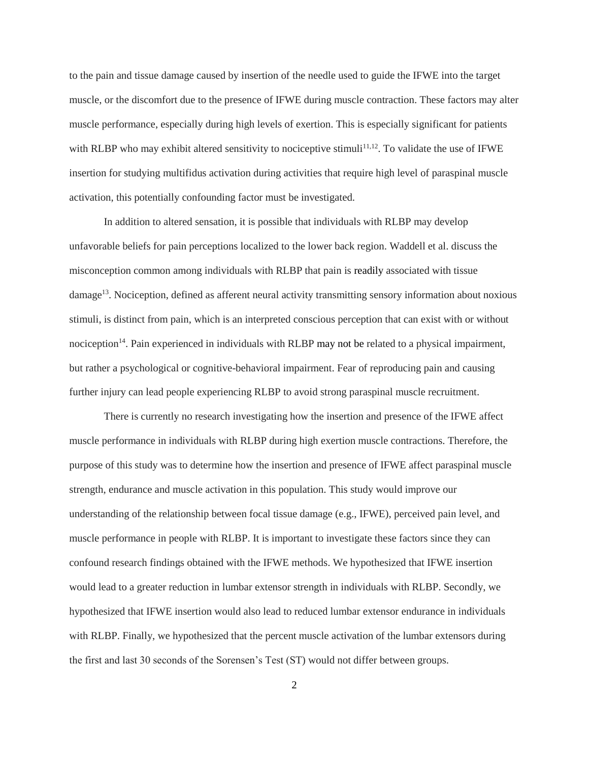to the pain and tissue damage caused by insertion of the needle used to guide the IFWE into the target muscle, or the discomfort due to the presence of IFWE during muscle contraction. These factors may alter muscle performance, especially during high levels of exertion. This is especially significant for patients with RLBP who may exhibit altered sensitivity to nociceptive stimuli<sup>11,12</sup>. To validate the use of IFWE insertion for studying multifidus activation during activities that require high level of paraspinal muscle activation, this potentially confounding factor must be investigated.

In addition to altered sensation, it is possible that individuals with RLBP may develop unfavorable beliefs for pain perceptions localized to the lower back region. Waddell et al. discuss the misconception common among individuals with RLBP that pain is readily associated with tissue damage<sup>13</sup>. Nociception, defined as afferent neural activity transmitting sensory information about noxious stimuli, is distinct from pain, which is an interpreted conscious perception that can exist with or without nociception<sup>14</sup>. Pain experienced in individuals with RLBP may not be related to a physical impairment, but rather a psychological or cognitive-behavioral impairment. Fear of reproducing pain and causing further injury can lead people experiencing RLBP to avoid strong paraspinal muscle recruitment.

There is currently no research investigating how the insertion and presence of the IFWE affect muscle performance in individuals with RLBP during high exertion muscle contractions. Therefore, the purpose of this study was to determine how the insertion and presence of IFWE affect paraspinal muscle strength, endurance and muscle activation in this population. This study would improve our understanding of the relationship between focal tissue damage (e.g., IFWE), perceived pain level, and muscle performance in people with RLBP. It is important to investigate these factors since they can confound research findings obtained with the IFWE methods. We hypothesized that IFWE insertion would lead to a greater reduction in lumbar extensor strength in individuals with RLBP. Secondly, we hypothesized that IFWE insertion would also lead to reduced lumbar extensor endurance in individuals with RLBP. Finally, we hypothesized that the percent muscle activation of the lumbar extensors during the first and last 30 seconds of the Sorensen's Test (ST) would not differ between groups.

2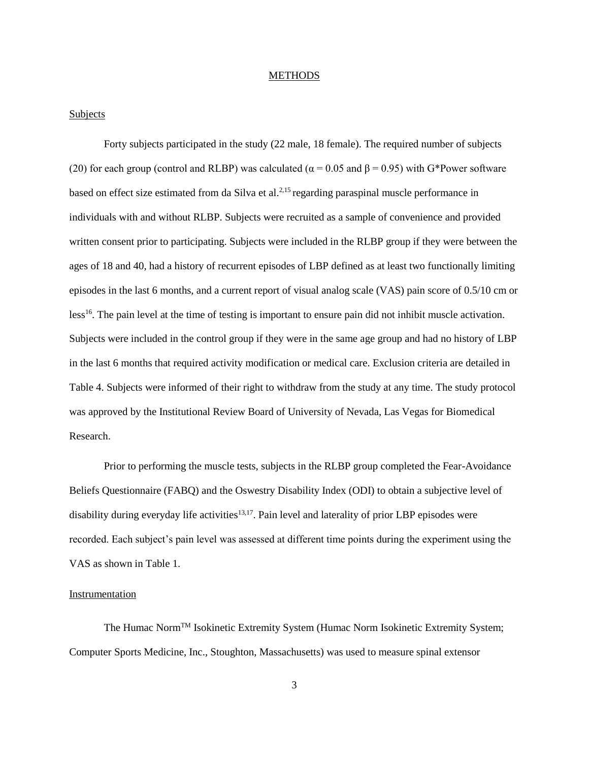#### **METHODS**

#### Subjects

Forty subjects participated in the study (22 male, 18 female). The required number of subjects (20) for each group (control and RLBP) was calculated ( $\alpha$  = 0.05 and  $\beta$  = 0.95) with G\*Power software based on effect size estimated from da Silva et al.<sup>2,15</sup> regarding paraspinal muscle performance in individuals with and without RLBP. Subjects were recruited as a sample of convenience and provided written consent prior to participating. Subjects were included in the RLBP group if they were between the ages of 18 and 40, had a history of recurrent episodes of LBP defined as at least two functionally limiting episodes in the last 6 months, and a current report of visual analog scale (VAS) pain score of 0.5/10 cm or less<sup>16</sup>. The pain level at the time of testing is important to ensure pain did not inhibit muscle activation. Subjects were included in the control group if they were in the same age group and had no history of LBP in the last 6 months that required activity modification or medical care. Exclusion criteria are detailed in Table 4. Subjects were informed of their right to withdraw from the study at any time. The study protocol was approved by the Institutional Review Board of University of Nevada, Las Vegas for Biomedical Research.

Prior to performing the muscle tests, subjects in the RLBP group completed the Fear-Avoidance Beliefs Questionnaire (FABQ) and the Oswestry Disability Index (ODI) to obtain a subjective level of disability during everyday life activities<sup>13,17</sup>. Pain level and laterality of prior LBP episodes were recorded. Each subject's pain level was assessed at different time points during the experiment using the VAS as shown in Table 1.

#### Instrumentation

The Humac NormTM Isokinetic Extremity System (Humac Norm Isokinetic Extremity System; Computer Sports Medicine, Inc., Stoughton, Massachusetts) was used to measure spinal extensor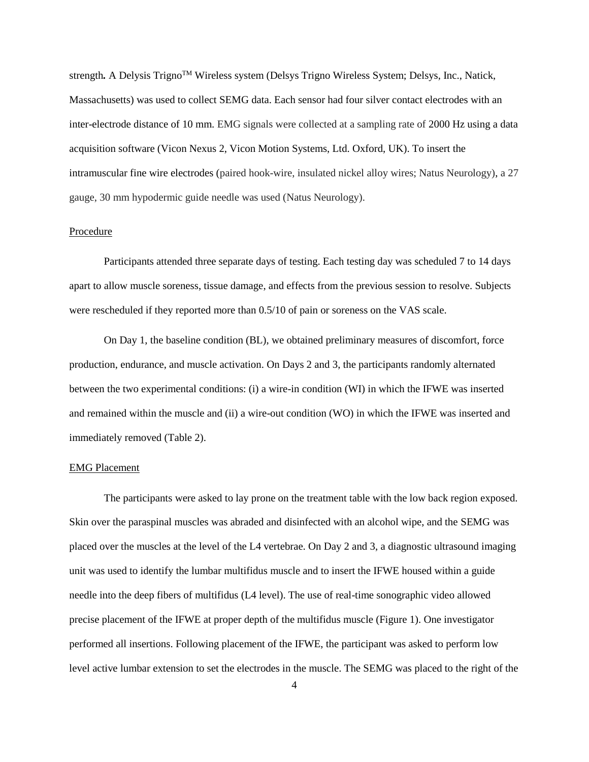strength. A Delysis Trigno<sup>TM</sup> Wireless system (Delsys Trigno Wireless System; Delsys, Inc., Natick, Massachusetts) was used to collect SEMG data. Each sensor had four silver contact electrodes with an inter-electrode distance of 10 mm. EMG signals were collected at a sampling rate of 2000 Hz using a data acquisition software (Vicon Nexus 2, Vicon Motion Systems, Ltd. Oxford, UK). To insert the intramuscular fine wire electrodes (paired hook-wire, insulated nickel alloy wires; Natus Neurology), a 27 gauge, 30 mm hypodermic guide needle was used (Natus Neurology).

#### Procedure

Participants attended three separate days of testing. Each testing day was scheduled 7 to 14 days apart to allow muscle soreness, tissue damage, and effects from the previous session to resolve. Subjects were rescheduled if they reported more than 0.5/10 of pain or soreness on the VAS scale.

On Day 1, the baseline condition (BL), we obtained preliminary measures of discomfort, force production, endurance, and muscle activation. On Days 2 and 3, the participants randomly alternated between the two experimental conditions: (i) a wire-in condition (WI) in which the IFWE was inserted and remained within the muscle and (ii) a wire-out condition (WO) in which the IFWE was inserted and immediately removed (Table 2).

#### EMG Placement

The participants were asked to lay prone on the treatment table with the low back region exposed. Skin over the paraspinal muscles was abraded and disinfected with an alcohol wipe, and the SEMG was placed over the muscles at the level of the L4 vertebrae. On Day 2 and 3, a diagnostic ultrasound imaging unit was used to identify the lumbar multifidus muscle and to insert the IFWE housed within a guide needle into the deep fibers of multifidus (L4 level). The use of real-time sonographic video allowed precise placement of the IFWE at proper depth of the multifidus muscle (Figure 1). One investigator performed all insertions. Following placement of the IFWE, the participant was asked to perform low level active lumbar extension to set the electrodes in the muscle. The SEMG was placed to the right of the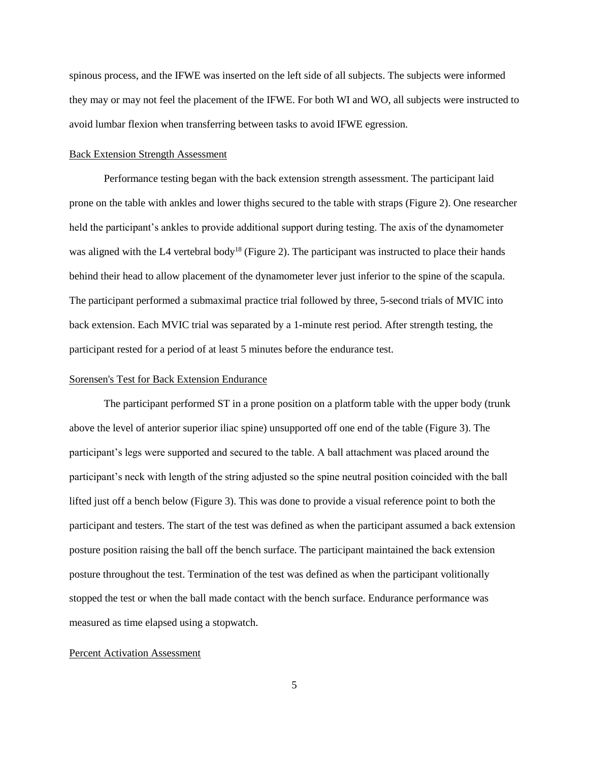spinous process, and the IFWE was inserted on the left side of all subjects. The subjects were informed they may or may not feel the placement of the IFWE. For both WI and WO, all subjects were instructed to avoid lumbar flexion when transferring between tasks to avoid IFWE egression.

#### Back Extension Strength Assessment

Performance testing began with the back extension strength assessment. The participant laid prone on the table with ankles and lower thighs secured to the table with straps (Figure 2). One researcher held the participant's ankles to provide additional support during testing. The axis of the dynamometer was aligned with the L4 vertebral body<sup>18</sup> (Figure 2). The participant was instructed to place their hands behind their head to allow placement of the dynamometer lever just inferior to the spine of the scapula. The participant performed a submaximal practice trial followed by three, 5-second trials of MVIC into back extension. Each MVIC trial was separated by a 1-minute rest period. After strength testing, the participant rested for a period of at least 5 minutes before the endurance test.

#### Sorensen's Test for Back Extension Endurance

The participant performed ST in a prone position on a platform table with the upper body (trunk above the level of anterior superior iliac spine) unsupported off one end of the table (Figure 3). The participant's legs were supported and secured to the table. A ball attachment was placed around the participant's neck with length of the string adjusted so the spine neutral position coincided with the ball lifted just off a bench below (Figure 3). This was done to provide a visual reference point to both the participant and testers. The start of the test was defined as when the participant assumed a back extension posture position raising the ball off the bench surface. The participant maintained the back extension posture throughout the test. Termination of the test was defined as when the participant volitionally stopped the test or when the ball made contact with the bench surface. Endurance performance was measured as time elapsed using a stopwatch.

#### Percent Activation Assessment

5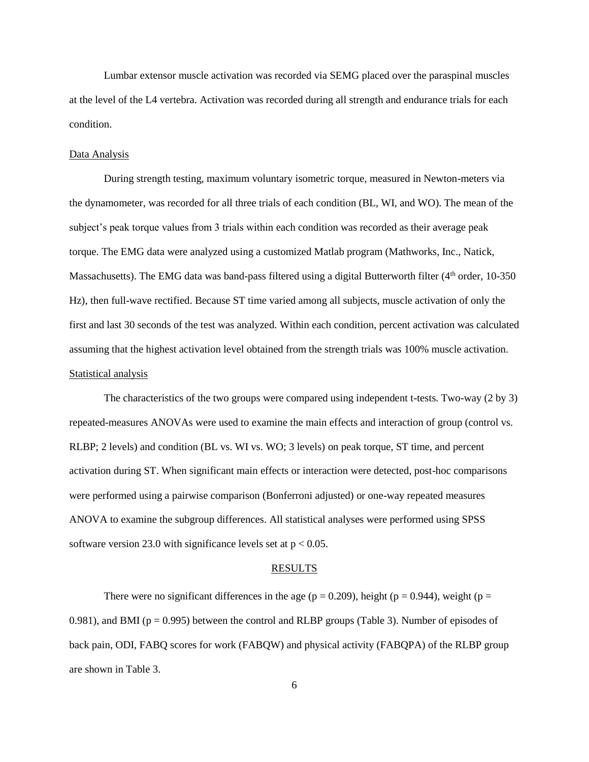Lumbar extensor muscle activation was recorded via SEMG placed over the paraspinal muscles at the level of the L4 vertebra. Activation was recorded during all strength and endurance trials for each condition.

#### Data Analysis

During strength testing, maximum voluntary isometric torque, measured in Newton-meters via the dynamometer, was recorded for all three trials of each condition (BL, WI, and WO). The mean of the subject's peak torque values from 3 trials within each condition was recorded as their average peak torque. The EMG data were analyzed using a customized Matlab program (Mathworks, Inc., Natick, Massachusetts). The EMG data was band-pass filtered using a digital Butterworth filter ( $4<sup>th</sup>$  order, 10-350) Hz), then full-wave rectified. Because ST time varied among all subjects, muscle activation of only the first and last 30 seconds of the test was analyzed. Within each condition, percent activation was calculated assuming that the highest activation level obtained from the strength trials was 100% muscle activation. Statistical analysis

The characteristics of the two groups were compared using independent t-tests. Two-way (2 by 3) repeated-measures ANOVAs were used to examine the main effects and interaction of group (control vs. RLBP; 2 levels) and condition (BL vs. WI vs. WO; 3 levels) on peak torque, ST time, and percent activation during ST. When significant main effects or interaction were detected, post-hoc comparisons were performed using a pairwise comparison (Bonferroni adjusted) or one-way repeated measures ANOVA to examine the subgroup differences. All statistical analyses were performed using SPSS software version 23.0 with significance levels set at  $p < 0.05$ .

#### RESULTS

There were no significant differences in the age ( $p = 0.209$ ), height ( $p = 0.944$ ), weight ( $p =$ 0.981), and BMI ( $p = 0.995$ ) between the control and RLBP groups (Table 3). Number of episodes of back pain, ODI, FABQ scores for work (FABQW) and physical activity (FABQPA) of the RLBP group are shown in Table 3.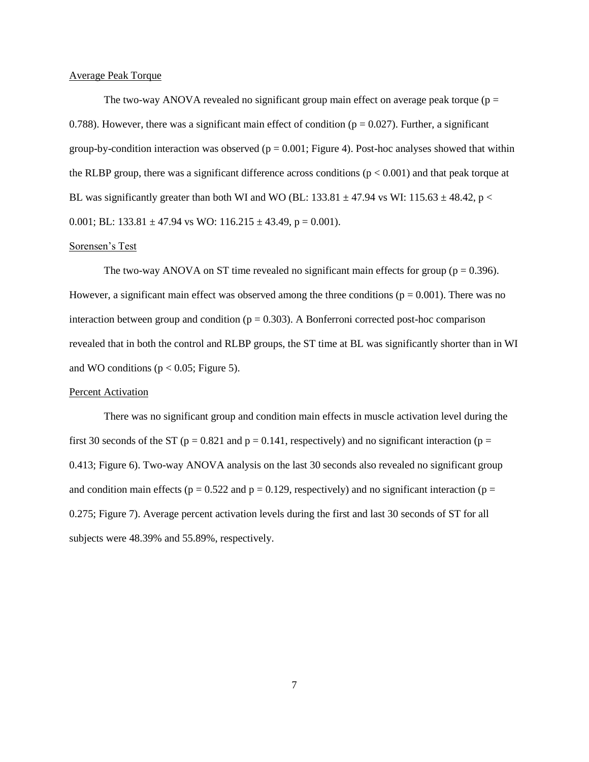#### Average Peak Torque

The two-way ANOVA revealed no significant group main effect on average peak torque ( $p =$ 0.788). However, there was a significant main effect of condition ( $p = 0.027$ ). Further, a significant group-by-condition interaction was observed ( $p = 0.001$ ; Figure 4). Post-hoc analyses showed that within the RLBP group, there was a significant difference across conditions ( $p < 0.001$ ) and that peak torque at BL was significantly greater than both WI and WO (BL: 133.81  $\pm$  47.94 vs WI: 115.63  $\pm$  48.42, p < 0.001; BL: 133.81  $\pm$  47.94 vs WO: 116.215  $\pm$  43.49, p = 0.001).

#### Sorensen's Test

The two-way ANOVA on ST time revealed no significant main effects for group ( $p = 0.396$ ). However, a significant main effect was observed among the three conditions ( $p = 0.001$ ). There was no interaction between group and condition ( $p = 0.303$ ). A Bonferroni corrected post-hoc comparison revealed that in both the control and RLBP groups, the ST time at BL was significantly shorter than in WI and WO conditions ( $p < 0.05$ ; Figure 5).

#### Percent Activation

There was no significant group and condition main effects in muscle activation level during the first 30 seconds of the ST ( $p = 0.821$  and  $p = 0.141$ , respectively) and no significant interaction ( $p =$ 0.413; Figure 6). Two-way ANOVA analysis on the last 30 seconds also revealed no significant group and condition main effects ( $p = 0.522$  and  $p = 0.129$ , respectively) and no significant interaction ( $p =$ 0.275; Figure 7). Average percent activation levels during the first and last 30 seconds of ST for all subjects were 48.39% and 55.89%, respectively.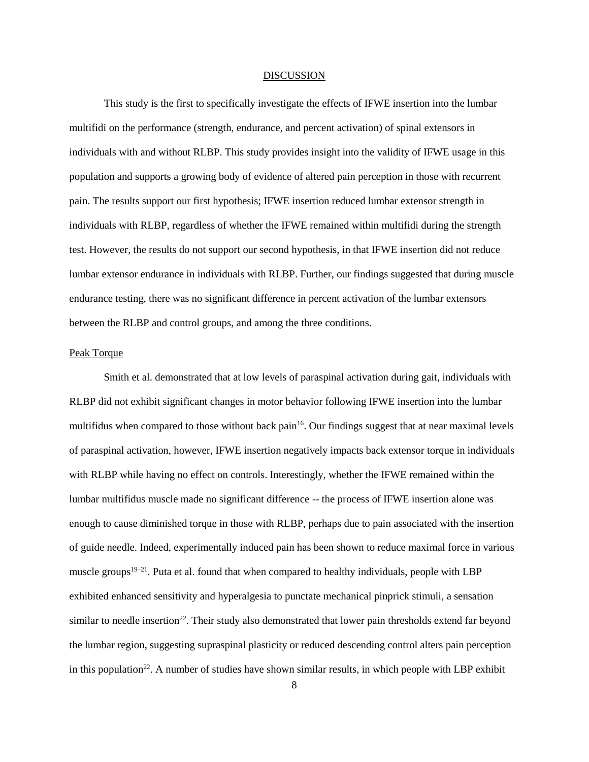#### DISCUSSION

This study is the first to specifically investigate the effects of IFWE insertion into the lumbar multifidi on the performance (strength, endurance, and percent activation) of spinal extensors in individuals with and without RLBP. This study provides insight into the validity of IFWE usage in this population and supports a growing body of evidence of altered pain perception in those with recurrent pain. The results support our first hypothesis; IFWE insertion reduced lumbar extensor strength in individuals with RLBP, regardless of whether the IFWE remained within multifidi during the strength test. However, the results do not support our second hypothesis, in that IFWE insertion did not reduce lumbar extensor endurance in individuals with RLBP. Further, our findings suggested that during muscle endurance testing, there was no significant difference in percent activation of the lumbar extensors between the RLBP and control groups, and among the three conditions.

#### Peak Torque

Smith et al. demonstrated that at low levels of paraspinal activation during gait, individuals with RLBP did not exhibit significant changes in motor behavior following IFWE insertion into the lumbar multifidus when compared to those without back pain<sup>16</sup>. Our findings suggest that at near maximal levels of paraspinal activation, however, IFWE insertion negatively impacts back extensor torque in individuals with RLBP while having no effect on controls. Interestingly, whether the IFWE remained within the lumbar multifidus muscle made no significant difference -- the process of IFWE insertion alone was enough to cause diminished torque in those with RLBP, perhaps due to pain associated with the insertion of guide needle. Indeed, experimentally induced pain has been shown to reduce maximal force in various muscle groups<sup>19–21</sup>. Puta et al. found that when compared to healthy individuals, people with LBP exhibited enhanced sensitivity and hyperalgesia to punctate mechanical pinprick stimuli, a sensation similar to needle insertion<sup>22</sup>. Their study also demonstrated that lower pain thresholds extend far beyond the lumbar region, suggesting supraspinal plasticity or reduced descending control alters pain perception in this population<sup>22</sup>. A number of studies have shown similar results, in which people with LBP exhibit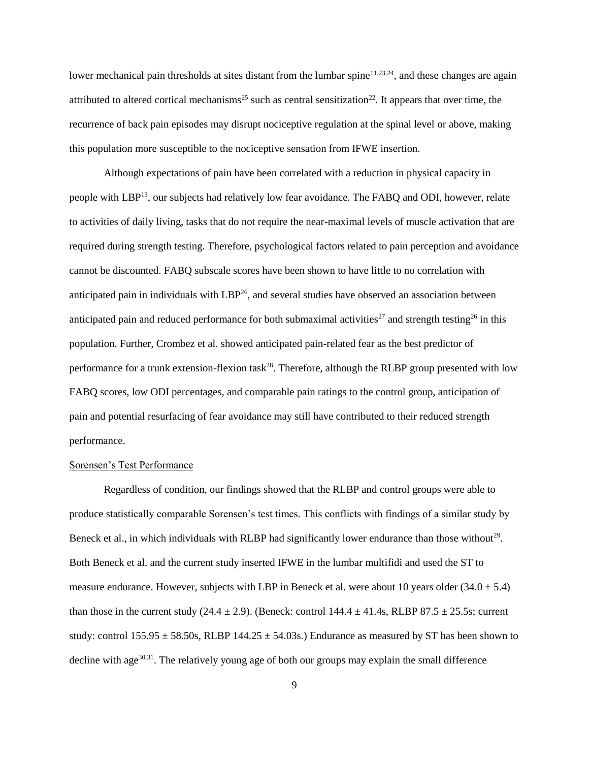lower mechanical pain thresholds at sites distant from the lumbar spine<sup>11,23,24</sup>, and these changes are again attributed to altered cortical mechanisms<sup>25</sup> such as central sensitization<sup>22</sup>. It appears that over time, the recurrence of back pain episodes may disrupt nociceptive regulation at the spinal level or above, making this population more susceptible to the nociceptive sensation from IFWE insertion.

Although expectations of pain have been correlated with a reduction in physical capacity in people with LBP<sup>13</sup>, our subjects had relatively low fear avoidance. The FABQ and ODI, however, relate to activities of daily living, tasks that do not require the near-maximal levels of muscle activation that are required during strength testing. Therefore, psychological factors related to pain perception and avoidance cannot be discounted. FABQ subscale scores have been shown to have little to no correlation with anticipated pain in individuals with LBP<sup>26</sup>, and several studies have observed an association between anticipated pain and reduced performance for both submaximal activities<sup>27</sup> and strength testing<sup>26</sup> in this population. Further, Crombez et al. showed anticipated pain-related fear as the best predictor of performance for a trunk extension-flexion task<sup>28</sup>. Therefore, although the RLBP group presented with low FABQ scores, low ODI percentages, and comparable pain ratings to the control group, anticipation of pain and potential resurfacing of fear avoidance may still have contributed to their reduced strength performance.

#### Sorensen's Test Performance

Regardless of condition, our findings showed that the RLBP and control groups were able to produce statistically comparable Sorensen's test times. This conflicts with findings of a similar study by Beneck et al., in which individuals with RLBP had significantly lower endurance than those without<sup>29</sup>. Both Beneck et al. and the current study inserted IFWE in the lumbar multifidi and used the ST to measure endurance. However, subjects with LBP in Beneck et al. were about 10 years older  $(34.0 \pm 5.4)$ than those in the current study (24.4  $\pm$  2.9). (Beneck: control 144.4  $\pm$  41.4s, RLBP 87.5  $\pm$  25.5s; current study: control  $155.95 \pm 58.50$ s, RLBP  $144.25 \pm 54.03$ s.) Endurance as measured by ST has been shown to decline with age<sup>30,31</sup>. The relatively young age of both our groups may explain the small difference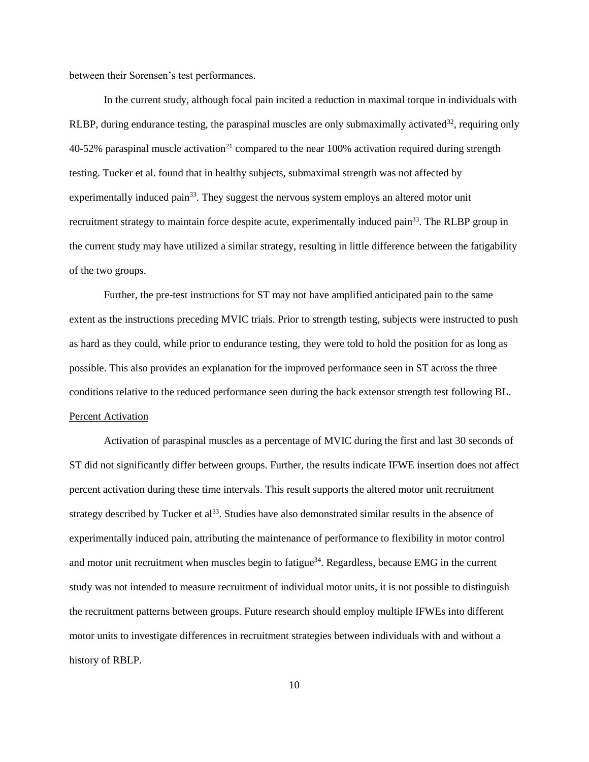between their Sorensen's test performances.

In the current study, although focal pain incited a reduction in maximal torque in individuals with RLBP, during endurance testing, the paraspinal muscles are only submaximally activated $32$ , requiring only  $40-52\%$  paraspinal muscle activation<sup>21</sup> compared to the near 100% activation required during strength testing. Tucker et al. found that in healthy subjects, submaximal strength was not affected by experimentally induced pain<sup>33</sup>. They suggest the nervous system employs an altered motor unit recruitment strategy to maintain force despite acute, experimentally induced pain<sup>33</sup>. The RLBP group in the current study may have utilized a similar strategy, resulting in little difference between the fatigability of the two groups.

Further, the pre-test instructions for ST may not have amplified anticipated pain to the same extent as the instructions preceding MVIC trials. Prior to strength testing, subjects were instructed to push as hard as they could, while prior to endurance testing, they were told to hold the position for as long as possible. This also provides an explanation for the improved performance seen in ST across the three conditions relative to the reduced performance seen during the back extensor strength test following BL. Percent Activation

Activation of paraspinal muscles as a percentage of MVIC during the first and last 30 seconds of ST did not significantly differ between groups. Further, the results indicate IFWE insertion does not affect percent activation during these time intervals. This result supports the altered motor unit recruitment strategy described by Tucker et al<sup>33</sup>. Studies have also demonstrated similar results in the absence of experimentally induced pain, attributing the maintenance of performance to flexibility in motor control and motor unit recruitment when muscles begin to fatigue<sup>34</sup>. Regardless, because EMG in the current study was not intended to measure recruitment of individual motor units, it is not possible to distinguish the recruitment patterns between groups. Future research should employ multiple IFWEs into different motor units to investigate differences in recruitment strategies between individuals with and without a history of RBLP.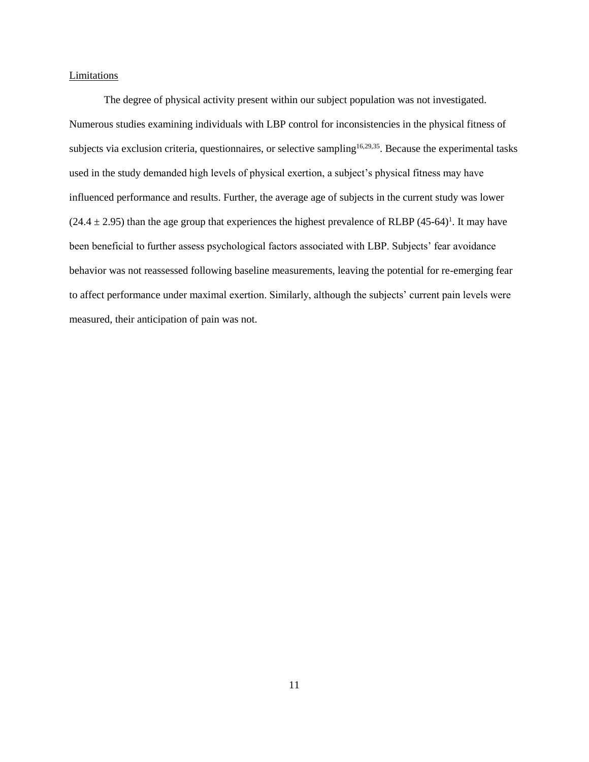#### **Limitations**

The degree of physical activity present within our subject population was not investigated. Numerous studies examining individuals with LBP control for inconsistencies in the physical fitness of subjects via exclusion criteria, questionnaires, or selective sampling<sup>16,29,35</sup>. Because the experimental tasks used in the study demanded high levels of physical exertion, a subject's physical fitness may have influenced performance and results. Further, the average age of subjects in the current study was lower  $(24.4 \pm 2.95)$  than the age group that experiences the highest prevalence of RLBP  $(45-64)^{1}$ . It may have been beneficial to further assess psychological factors associated with LBP. Subjects' fear avoidance behavior was not reassessed following baseline measurements, leaving the potential for re-emerging fear to affect performance under maximal exertion. Similarly, although the subjects' current pain levels were measured, their anticipation of pain was not.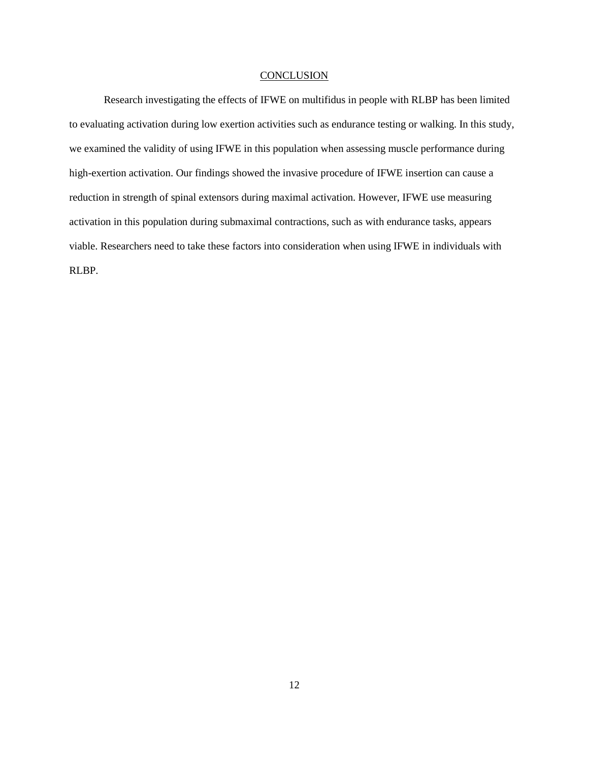#### **CONCLUSION**

Research investigating the effects of IFWE on multifidus in people with RLBP has been limited to evaluating activation during low exertion activities such as endurance testing or walking. In this study, we examined the validity of using IFWE in this population when assessing muscle performance during high-exertion activation. Our findings showed the invasive procedure of IFWE insertion can cause a reduction in strength of spinal extensors during maximal activation. However, IFWE use measuring activation in this population during submaximal contractions, such as with endurance tasks, appears viable. Researchers need to take these factors into consideration when using IFWE in individuals with RLBP.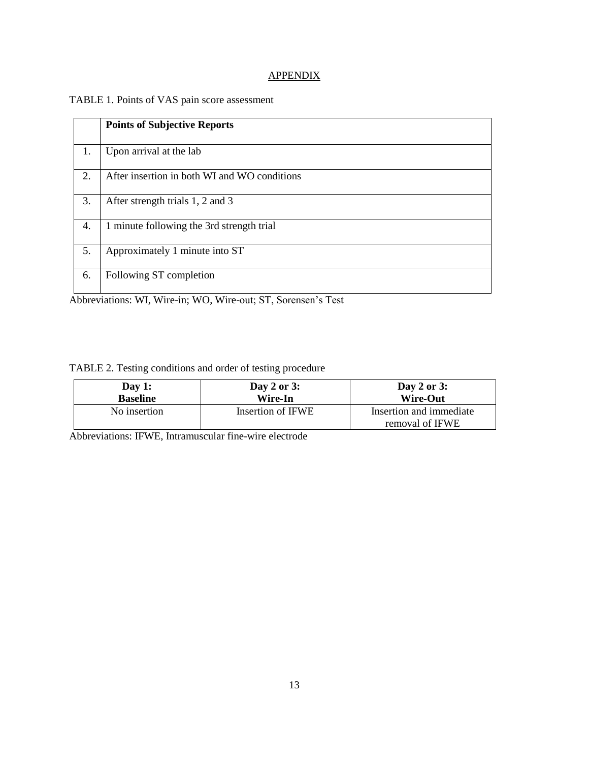#### **APPENDIX**

#### TABLE 1. Points of VAS pain score assessment

|    | <b>Points of Subjective Reports</b>          |
|----|----------------------------------------------|
| 1. | Upon arrival at the lab                      |
| 2. | After insertion in both WI and WO conditions |
| 3. | After strength trials 1, 2 and 3             |
| 4. | 1 minute following the 3rd strength trial    |
| 5. | Approximately 1 minute into ST               |
| 6. | Following ST completion                      |

Abbreviations: WI, Wire-in; WO, Wire-out; ST, Sorensen's Test

#### TABLE 2. Testing conditions and order of testing procedure

| Day 1:          | Day 2 or $3:$     | Day 2 or $3:$                              |
|-----------------|-------------------|--------------------------------------------|
| <b>Baseline</b> | Wire-In           | <b>Wire-Out</b>                            |
| No insertion    | Insertion of IFWE | Insertion and immediate<br>removal of IFWE |

Abbreviations: IFWE, Intramuscular fine-wire electrode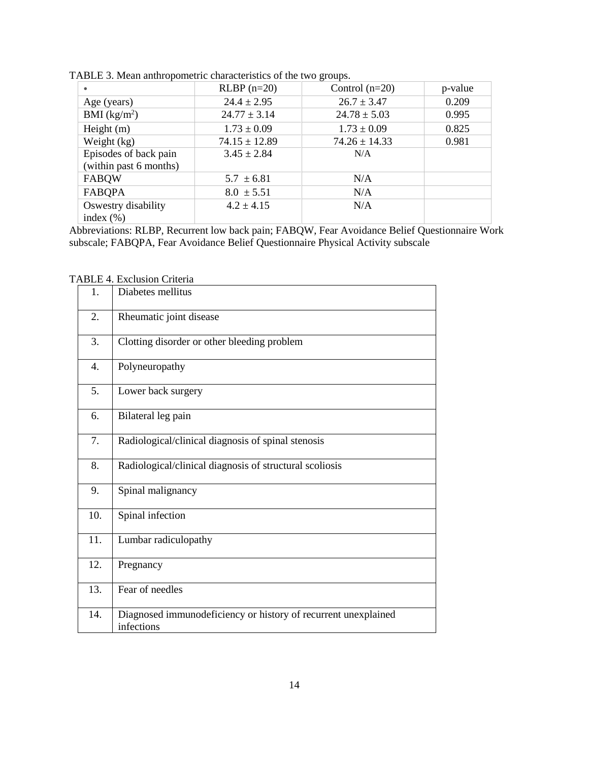|                        | $RLBP$ (n=20)     | Control $(n=20)$  | p-value |
|------------------------|-------------------|-------------------|---------|
| Age (years)            | $24.4 \pm 2.95$   | $26.7 \pm 3.47$   | 0.209   |
| BMI $(kg/m2)$          | $24.77 \pm 3.14$  | $24.78 \pm 5.03$  | 0.995   |
| Height $(m)$           | $1.73 \pm 0.09$   | $1.73 \pm 0.09$   | 0.825   |
| Weight (kg)            | $74.15 \pm 12.89$ | $74.26 \pm 14.33$ | 0.981   |
| Episodes of back pain  | $3.45 \pm 2.84$   | N/A               |         |
| (within past 6 months) |                   |                   |         |
| <b>FABQW</b>           | $5.7 \pm 6.81$    | N/A               |         |
| <b>FABQPA</b>          | $8.0 \pm 5.51$    | N/A               |         |
| Oswestry disability    | $4.2 \pm 4.15$    | N/A               |         |
| index $(\% )$          |                   |                   |         |

TABLE 3. Mean anthropometric characteristics of the two groups.

Abbreviations: RLBP, Recurrent low back pain; FABQW, Fear Avoidance Belief Questionnaire Work subscale; FABQPA, Fear Avoidance Belief Questionnaire Physical Activity subscale

| 1.  | Diabetes mellitus                                                            |
|-----|------------------------------------------------------------------------------|
| 2.  | Rheumatic joint disease                                                      |
| 3.  | Clotting disorder or other bleeding problem                                  |
| 4.  | Polyneuropathy                                                               |
| 5.  | Lower back surgery                                                           |
| 6.  | Bilateral leg pain                                                           |
| 7.  | Radiological/clinical diagnosis of spinal stenosis                           |
| 8.  | Radiological/clinical diagnosis of structural scoliosis                      |
| 9.  | Spinal malignancy                                                            |
| 10. | Spinal infection                                                             |
| 11. | Lumbar radiculopathy                                                         |
| 12. | Pregnancy                                                                    |
| 13. | Fear of needles                                                              |
| 14. | Diagnosed immunodeficiency or history of recurrent unexplained<br>infections |

TABLE 4. Exclusion Criteria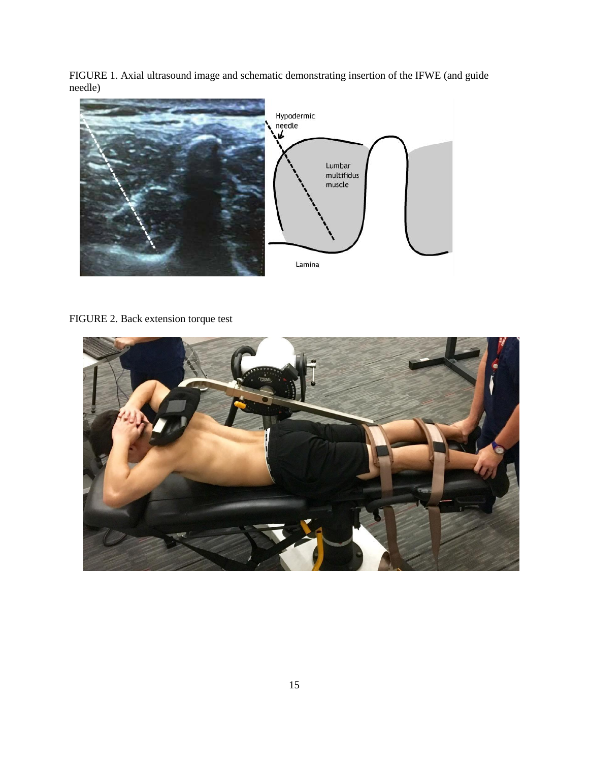FIGURE 1. Axial ultrasound image and schematic demonstrating insertion of the IFWE (and guide needle)



### FIGURE 2. Back extension torque test

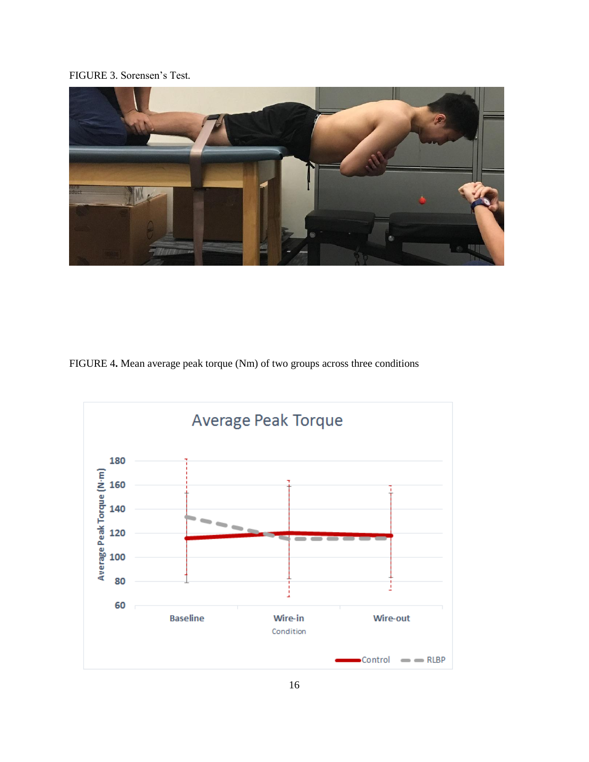#### FIGURE 3. Sorensen's Test*.*



FIGURE 4**.** Mean average peak torque (Nm) of two groups across three conditions

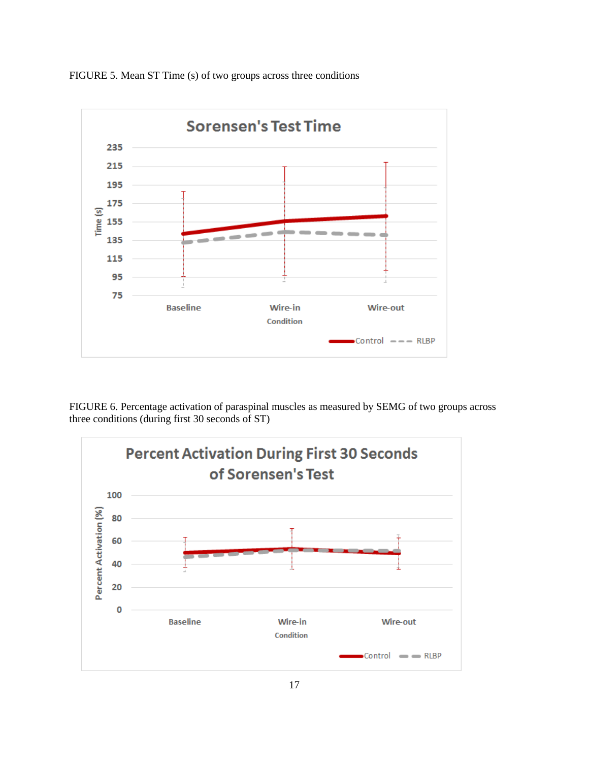

FIGURE 5. Mean ST Time (s) of two groups across three conditions

FIGURE 6. Percentage activation of paraspinal muscles as measured by SEMG of two groups across three conditions (during first 30 seconds of ST)

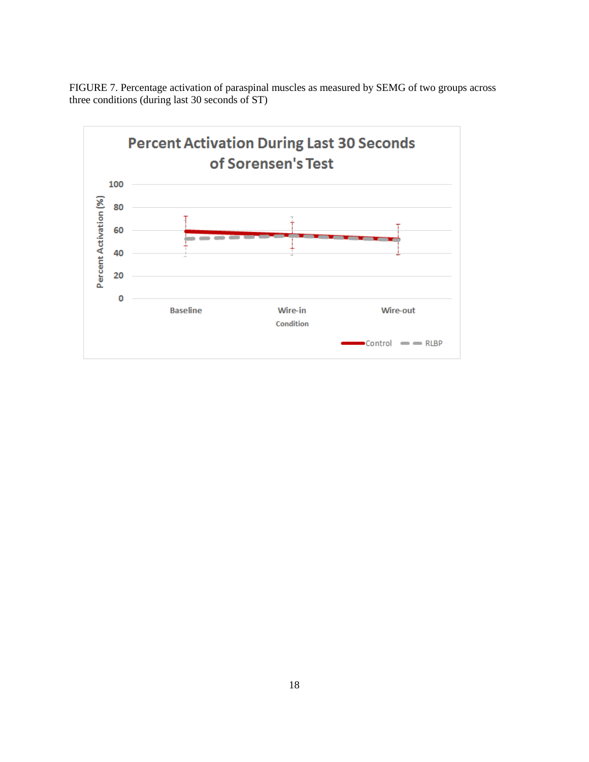FIGURE 7. Percentage activation of paraspinal muscles as measured by SEMG of two groups across three conditions (during last 30 seconds of ST)

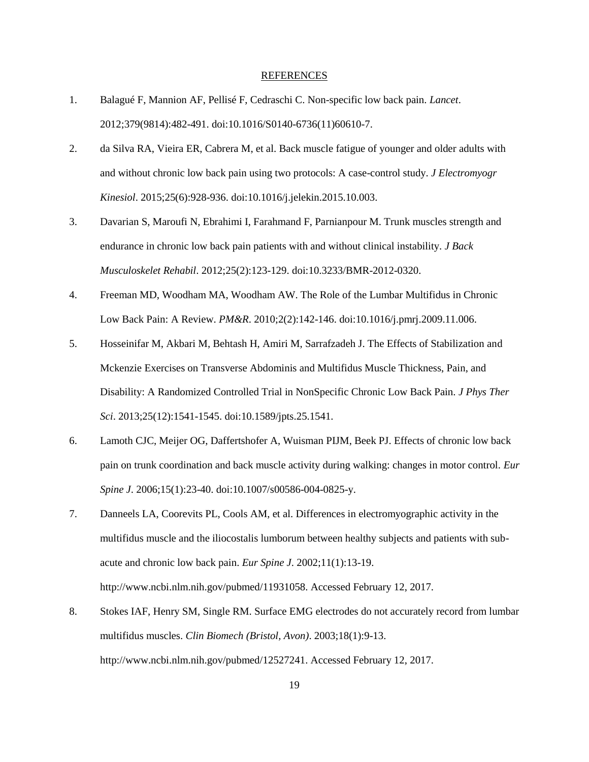#### REFERENCES

- 1. Balagué F, Mannion AF, Pellisé F, Cedraschi C. Non-specific low back pain. *Lancet*. 2012;379(9814):482-491. doi:10.1016/S0140-6736(11)60610-7.
- 2. da Silva RA, Vieira ER, Cabrera M, et al. Back muscle fatigue of younger and older adults with and without chronic low back pain using two protocols: A case-control study. *J Electromyogr Kinesiol*. 2015;25(6):928-936. doi:10.1016/j.jelekin.2015.10.003.
- 3. Davarian S, Maroufi N, Ebrahimi I, Farahmand F, Parnianpour M. Trunk muscles strength and endurance in chronic low back pain patients with and without clinical instability. *J Back Musculoskelet Rehabil*. 2012;25(2):123-129. doi:10.3233/BMR-2012-0320.
- 4. Freeman MD, Woodham MA, Woodham AW. The Role of the Lumbar Multifidus in Chronic Low Back Pain: A Review. *PM&R*. 2010;2(2):142-146. doi:10.1016/j.pmrj.2009.11.006.
- 5. Hosseinifar M, Akbari M, Behtash H, Amiri M, Sarrafzadeh J. The Effects of Stabilization and Mckenzie Exercises on Transverse Abdominis and Multifidus Muscle Thickness, Pain, and Disability: A Randomized Controlled Trial in NonSpecific Chronic Low Back Pain. *J Phys Ther Sci*. 2013;25(12):1541-1545. doi:10.1589/jpts.25.1541.
- 6. Lamoth CJC, Meijer OG, Daffertshofer A, Wuisman PIJM, Beek PJ. Effects of chronic low back pain on trunk coordination and back muscle activity during walking: changes in motor control. *Eur Spine J*. 2006;15(1):23-40. doi:10.1007/s00586-004-0825-y.
- 7. Danneels LA, Coorevits PL, Cools AM, et al. Differences in electromyographic activity in the multifidus muscle and the iliocostalis lumborum between healthy subjects and patients with subacute and chronic low back pain. *Eur Spine J*. 2002;11(1):13-19. http://www.ncbi.nlm.nih.gov/pubmed/11931058. Accessed February 12, 2017.
- 8. Stokes IAF, Henry SM, Single RM. Surface EMG electrodes do not accurately record from lumbar multifidus muscles. *Clin Biomech (Bristol, Avon)*. 2003;18(1):9-13. http://www.ncbi.nlm.nih.gov/pubmed/12527241. Accessed February 12, 2017.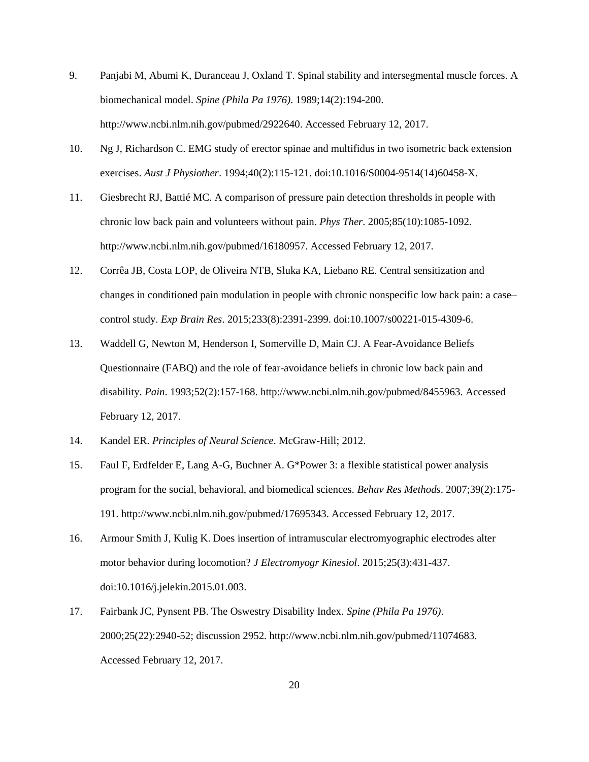- 9. Panjabi M, Abumi K, Duranceau J, Oxland T. Spinal stability and intersegmental muscle forces. A biomechanical model. *Spine (Phila Pa 1976)*. 1989;14(2):194-200. http://www.ncbi.nlm.nih.gov/pubmed/2922640. Accessed February 12, 2017.
- 10. Ng J, Richardson C. EMG study of erector spinae and multifidus in two isometric back extension exercises. *Aust J Physiother*. 1994;40(2):115-121. doi:10.1016/S0004-9514(14)60458-X.
- 11. Giesbrecht RJ, Battié MC. A comparison of pressure pain detection thresholds in people with chronic low back pain and volunteers without pain. *Phys Ther*. 2005;85(10):1085-1092. http://www.ncbi.nlm.nih.gov/pubmed/16180957. Accessed February 12, 2017.
- 12. Corrêa JB, Costa LOP, de Oliveira NTB, Sluka KA, Liebano RE. Central sensitization and changes in conditioned pain modulation in people with chronic nonspecific low back pain: a case– control study. *Exp Brain Res*. 2015;233(8):2391-2399. doi:10.1007/s00221-015-4309-6.
- 13. Waddell G, Newton M, Henderson I, Somerville D, Main CJ. A Fear-Avoidance Beliefs Questionnaire (FABQ) and the role of fear-avoidance beliefs in chronic low back pain and disability. *Pain*. 1993;52(2):157-168. http://www.ncbi.nlm.nih.gov/pubmed/8455963. Accessed February 12, 2017.
- 14. Kandel ER. *Principles of Neural Science*. McGraw-Hill; 2012.
- 15. Faul F, Erdfelder E, Lang A-G, Buchner A. G\*Power 3: a flexible statistical power analysis program for the social, behavioral, and biomedical sciences. *Behav Res Methods*. 2007;39(2):175- 191. http://www.ncbi.nlm.nih.gov/pubmed/17695343. Accessed February 12, 2017.
- 16. Armour Smith J, Kulig K. Does insertion of intramuscular electromyographic electrodes alter motor behavior during locomotion? *J Electromyogr Kinesiol*. 2015;25(3):431-437. doi:10.1016/j.jelekin.2015.01.003.
- 17. Fairbank JC, Pynsent PB. The Oswestry Disability Index. *Spine (Phila Pa 1976)*. 2000;25(22):2940-52; discussion 2952. http://www.ncbi.nlm.nih.gov/pubmed/11074683. Accessed February 12, 2017.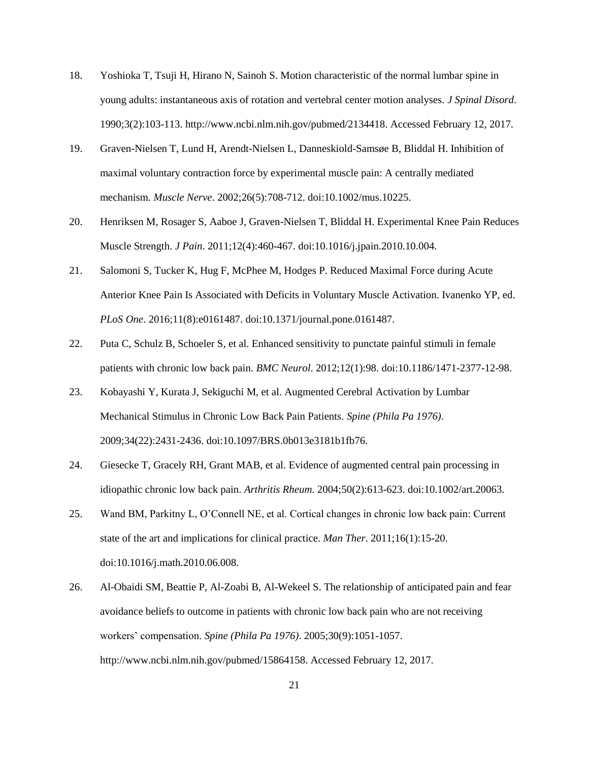- 18. Yoshioka T, Tsuji H, Hirano N, Sainoh S. Motion characteristic of the normal lumbar spine in young adults: instantaneous axis of rotation and vertebral center motion analyses. *J Spinal Disord*. 1990;3(2):103-113. http://www.ncbi.nlm.nih.gov/pubmed/2134418. Accessed February 12, 2017.
- 19. Graven-Nielsen T, Lund H, Arendt-Nielsen L, Danneskiold-Samsøe B, Bliddal H. Inhibition of maximal voluntary contraction force by experimental muscle pain: A centrally mediated mechanism. *Muscle Nerve*. 2002;26(5):708-712. doi:10.1002/mus.10225.
- 20. Henriksen M, Rosager S, Aaboe J, Graven-Nielsen T, Bliddal H. Experimental Knee Pain Reduces Muscle Strength. *J Pain*. 2011;12(4):460-467. doi:10.1016/j.jpain.2010.10.004.
- 21. Salomoni S, Tucker K, Hug F, McPhee M, Hodges P. Reduced Maximal Force during Acute Anterior Knee Pain Is Associated with Deficits in Voluntary Muscle Activation. Ivanenko YP, ed. *PLoS One*. 2016;11(8):e0161487. doi:10.1371/journal.pone.0161487.
- 22. Puta C, Schulz B, Schoeler S, et al. Enhanced sensitivity to punctate painful stimuli in female patients with chronic low back pain. *BMC Neurol*. 2012;12(1):98. doi:10.1186/1471-2377-12-98.
- 23. Kobayashi Y, Kurata J, Sekiguchi M, et al. Augmented Cerebral Activation by Lumbar Mechanical Stimulus in Chronic Low Back Pain Patients. *Spine (Phila Pa 1976)*. 2009;34(22):2431-2436. doi:10.1097/BRS.0b013e3181b1fb76.
- 24. Giesecke T, Gracely RH, Grant MAB, et al. Evidence of augmented central pain processing in idiopathic chronic low back pain. *Arthritis Rheum*. 2004;50(2):613-623. doi:10.1002/art.20063.
- 25. Wand BM, Parkitny L, O'Connell NE, et al. Cortical changes in chronic low back pain: Current state of the art and implications for clinical practice. *Man Ther*. 2011;16(1):15-20. doi:10.1016/j.math.2010.06.008.
- 26. Al-Obaidi SM, Beattie P, Al-Zoabi B, Al-Wekeel S. The relationship of anticipated pain and fear avoidance beliefs to outcome in patients with chronic low back pain who are not receiving workers' compensation. *Spine (Phila Pa 1976)*. 2005;30(9):1051-1057. http://www.ncbi.nlm.nih.gov/pubmed/15864158. Accessed February 12, 2017.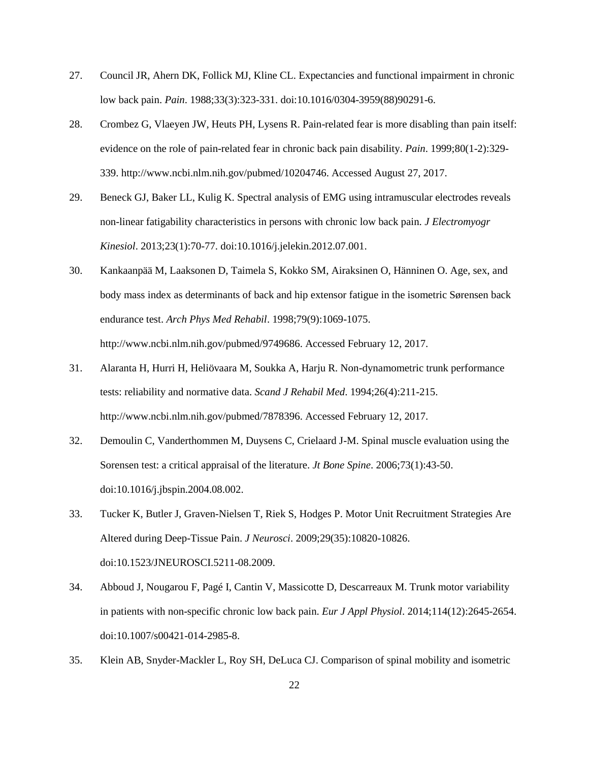- 27. Council JR, Ahern DK, Follick MJ, Kline CL. Expectancies and functional impairment in chronic low back pain. *Pain*. 1988;33(3):323-331. doi:10.1016/0304-3959(88)90291-6.
- 28. Crombez G, Vlaeyen JW, Heuts PH, Lysens R. Pain-related fear is more disabling than pain itself: evidence on the role of pain-related fear in chronic back pain disability. *Pain*. 1999;80(1-2):329- 339. http://www.ncbi.nlm.nih.gov/pubmed/10204746. Accessed August 27, 2017.
- 29. Beneck GJ, Baker LL, Kulig K. Spectral analysis of EMG using intramuscular electrodes reveals non-linear fatigability characteristics in persons with chronic low back pain. *J Electromyogr Kinesiol*. 2013;23(1):70-77. doi:10.1016/j.jelekin.2012.07.001.
- 30. Kankaanpää M, Laaksonen D, Taimela S, Kokko SM, Airaksinen O, Hänninen O. Age, sex, and body mass index as determinants of back and hip extensor fatigue in the isometric Sørensen back endurance test. *Arch Phys Med Rehabil*. 1998;79(9):1069-1075. http://www.ncbi.nlm.nih.gov/pubmed/9749686. Accessed February 12, 2017.
- 31. Alaranta H, Hurri H, Heliövaara M, Soukka A, Harju R. Non-dynamometric trunk performance tests: reliability and normative data. *Scand J Rehabil Med*. 1994;26(4):211-215. http://www.ncbi.nlm.nih.gov/pubmed/7878396. Accessed February 12, 2017.
- 32. Demoulin C, Vanderthommen M, Duysens C, Crielaard J-M. Spinal muscle evaluation using the Sorensen test: a critical appraisal of the literature. *Jt Bone Spine*. 2006;73(1):43-50. doi:10.1016/j.jbspin.2004.08.002.
- 33. Tucker K, Butler J, Graven-Nielsen T, Riek S, Hodges P. Motor Unit Recruitment Strategies Are Altered during Deep-Tissue Pain. *J Neurosci*. 2009;29(35):10820-10826. doi:10.1523/JNEUROSCI.5211-08.2009.
- 34. Abboud J, Nougarou F, Pagé I, Cantin V, Massicotte D, Descarreaux M. Trunk motor variability in patients with non-specific chronic low back pain. *Eur J Appl Physiol*. 2014;114(12):2645-2654. doi:10.1007/s00421-014-2985-8.
- 35. Klein AB, Snyder-Mackler L, Roy SH, DeLuca CJ. Comparison of spinal mobility and isometric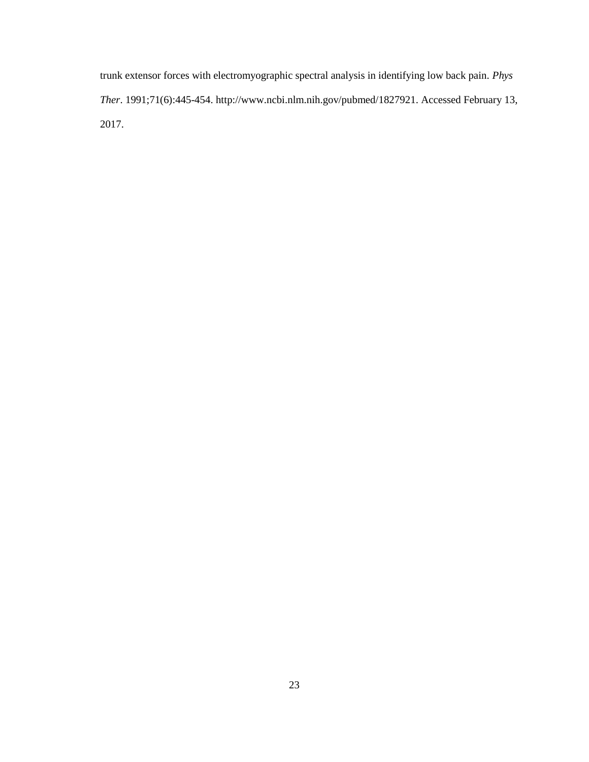trunk extensor forces with electromyographic spectral analysis in identifying low back pain. *Phys Ther*. 1991;71(6):445-454. http://www.ncbi.nlm.nih.gov/pubmed/1827921. Accessed February 13, 2017.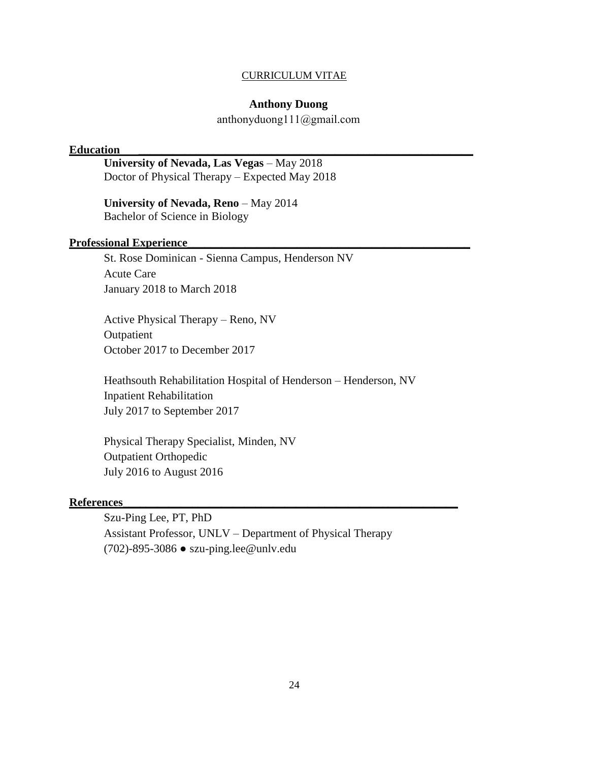#### CURRICULUM VITAE

#### **Anthony Duong**

anthonyduong111@gmail.com

#### **Education \_\_\_\_\_\_\_\_\_\_\_\_\_\_\_\_\_\_\_\_\_\_\_\_\_\_\_\_\_\_\_\_\_\_\_\_\_\_\_\_\_\_\_\_\_\_\_\_\_\_\_\_\_\_\_\_\_\_**

**University of Nevada, Las Vegas** – May 2018 Doctor of Physical Therapy – Expected May 2018

**University of Nevada, Reno** – May 2014 Bachelor of Science in Biology

#### **Professional Experience\_\_\_\_\_\_\_\_\_\_\_\_\_\_\_\_\_\_\_\_\_\_\_\_\_\_\_\_\_\_\_\_\_\_\_\_\_\_\_\_\_\_\_\_\_\_\_\_\_**

St. Rose Dominican - Sienna Campus, Henderson NV Acute Care January 2018 to March 2018

Active Physical Therapy – Reno, NV Outpatient October 2017 to December 2017

Heathsouth Rehabilitation Hospital of Henderson – Henderson, NV Inpatient Rehabilitation July 2017 to September 2017

Physical Therapy Specialist, Minden, NV Outpatient Orthopedic July 2016 to August 2016

#### **References\_\_\_\_\_\_\_\_\_\_\_\_\_\_\_\_\_\_\_\_\_\_\_\_\_\_\_\_\_\_\_\_\_\_\_\_\_\_\_\_\_\_\_\_\_\_\_\_\_\_\_\_\_\_\_\_\_\_**

Szu-Ping Lee, PT, PhD Assistant Professor, UNLV – Department of Physical Therapy (702)-895-3086 ● szu-ping.lee@unlv.edu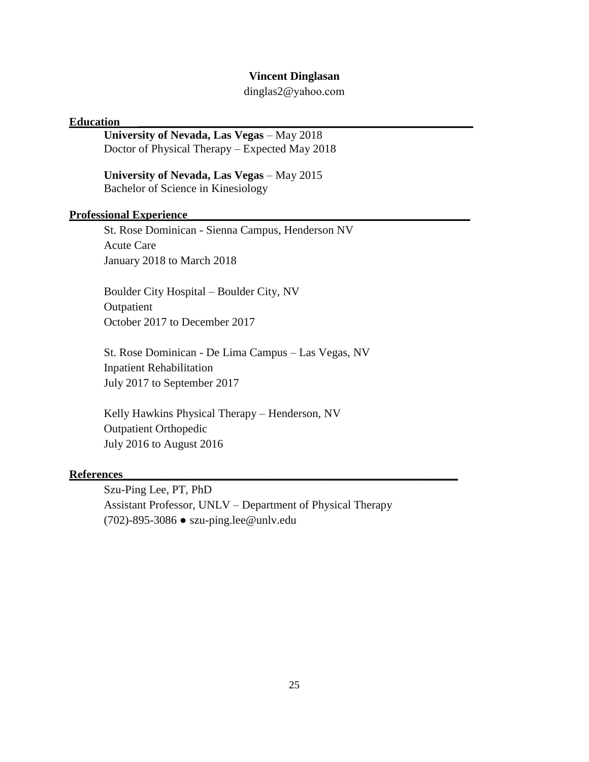#### **Vincent Dinglasan**

dinglas2@yahoo.com

#### **Education \_\_\_\_\_\_\_\_\_\_\_\_\_\_\_\_\_\_\_\_\_\_\_\_\_\_\_\_\_\_\_\_\_\_\_\_\_\_\_\_\_\_\_\_\_\_\_\_\_\_\_\_\_\_\_\_\_\_**

**University of Nevada, Las Vegas** – May 2018 Doctor of Physical Therapy – Expected May 2018

**University of Nevada, Las Vegas** – May 2015 Bachelor of Science in Kinesiology

#### **Professional Experience\_\_\_\_\_\_\_\_\_\_\_\_\_\_\_\_\_\_\_\_\_\_\_\_\_\_\_\_\_\_\_\_\_\_\_\_\_\_\_\_\_\_\_\_\_\_\_\_\_**

St. Rose Dominican - Sienna Campus, Henderson NV Acute Care January 2018 to March 2018

Boulder City Hospital – Boulder City, NV Outpatient October 2017 to December 2017

St. Rose Dominican - De Lima Campus – Las Vegas, NV Inpatient Rehabilitation July 2017 to September 2017

Kelly Hawkins Physical Therapy – Henderson, NV Outpatient Orthopedic July 2016 to August 2016

#### **References\_\_\_\_\_\_\_\_\_\_\_\_\_\_\_\_\_\_\_\_\_\_\_\_\_\_\_\_\_\_\_\_\_\_\_\_\_\_\_\_\_\_\_\_\_\_\_\_\_\_\_\_\_\_\_\_\_\_**

Szu-Ping Lee, PT, PhD Assistant Professor, UNLV – Department of Physical Therapy (702)-895-3086 ● szu-ping.lee@unlv.edu